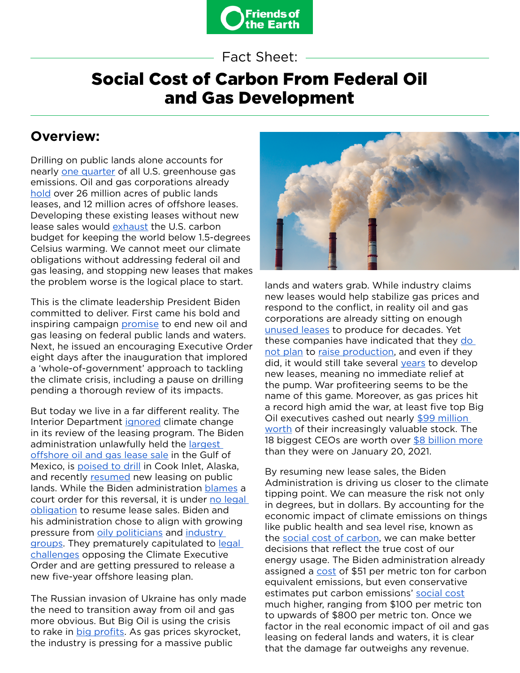

Fact Sheet:

# Social Cost of Carbon From Federal Oil and Gas Development

### **Overview:**

Drilling on public lands alone accounts for nearly [one quarter](https://www.scientificamerican.com/article/fossil-fuel-extraction-on-public-lands-produces-one-quarter-of-u-s-emissions/) of all U.S. greenhouse gas emissions. Oil and gas corporations already [hold](https://www.doi.gov/pressreleases/fact-sheet-president-biden-take-action-uphold-commitment-restore-balance-public-lands) over 26 million acres of public lands leases, and 12 million acres of offshore leases. Developing these existing leases without new lease sales would [exhaust](https://www.ipcc.ch/report/ar6/wg2/) the U.S. carbon budget for keeping the world below 1.5-degrees Celsius warming. We cannot meet our climate obligations without addressing federal oil and gas leasing, and stopping new leases that makes the problem worse is the logical place to start.

This is the climate leadership President Biden committed to deliver. First came his bold and inspiring campaign [promise](https://abcnews.go.com/Politics/infuriating-climate-activists-biden-expands-oil-drilling-public/story?id=84148098) to end new oil and gas leasing on federal public lands and waters. Next, he issued an encouraging Executive Order eight days after the inauguration that implored a 'whole-of-government' approach to tackling the climate crisis, including a pause on drilling pending a thorough review of its impacts.

But today we live in a far different reality. The Interior Department [ignored](https://www.nytimes.com/2021/11/26/climate/climate-change-drilling-public-lands.html) climate change in its review of the leasing program. The Biden administration unlawfully held the [largest](https://www.washingtonpost.com/climate-environment/2022/01/27/biden-gulf-of-mexico-lease-sale/)  [offshore oil and gas lease sale](https://www.washingtonpost.com/climate-environment/2022/01/27/biden-gulf-of-mexico-lease-sale/) in the Gulf of Mexico, is [poised to drill](https://www.reuters.com/business/energy/us-takes-step-toward-oil-gas-auction-off-alaska-coast-next-year-2021-10-22/) in Cook Inlet, Alaska, and recently [resumed](https://www.nytimes.com/2022/04/15/climate/biden-drilling-oil-leases.html) new leasing on public lands. While the Biden administration [blames](https://thehill.com/policy/energy-environment/3273535-biden-administration-deflects-blame-to-courts-for-new-oil-lease-sale/) a court order for this reversal, it is under [no legal](https://www.theguardian.com/business/2021/dec/13/revealed-biden-administration-was-not-legally-bound-to-auction-gulf-drilling-rights)  [obligation](https://www.theguardian.com/business/2021/dec/13/revealed-biden-administration-was-not-legally-bound-to-auction-gulf-drilling-rights) to resume lease sales. Biden and his administration chose to align with growing pressure from [oily politicians](https://www.manchin.senate.gov/newsroom/press-releases/manchin-kelly-urge-biden-administration-to-boost-domestic-energy-production-amid-rising-gas-prices) and industry [groups.](https://www.api.org/~/media/Files/News/2022/03/EIAP-5-year-Program-Leasing-Delay-Report-03-24-22) They prematurely capitulated to [legal](https://www.eenews.net/articles/biden-faces-legal-fight-over-delayed-offshore-leasing-plan/)  [challenges](https://www.eenews.net/articles/biden-faces-legal-fight-over-delayed-offshore-leasing-plan/) opposing the Climate Executive Order and are getting pressured to release a new five-year offshore leasing plan.

The Russian invasion of Ukraine has only made the need to transition away from oil and gas more obvious. But Big Oil is using the crisis to rake in **[big profits](https://1bps6437gg8c169i0y1drtgz-wpengine.netdna-ssl.com/wp-content/uploads/2022/03/All-American-Oligarchs_FINAL_906.pdf)**. As gas prices skyrocket, the industry is pressing for a massive public



lands and waters grab. While industry claims new leases would help stabilize gas prices and respond to the conflict, in reality oil and gas corporations are already sitting on enough [unused leases](https://foe.org/clean-shell-game) to produce for decades. Yet these companies have indicated that they [do](https://www.dallasfed.org/research/surveys/des/2022/2201.aspx#tab-report)  [not plan](https://www.dallasfed.org/research/surveys/des/2022/2201.aspx#tab-report) to [raise production,](https://www.nytimes.com/2022/04/26/business/energy-environment/oil-us-europe-russia.html) and even if they did, it would still take several [years](https://www.gao.gov/assets/gao-21-138.pdf) to develop new leases, meaning no immediate relief at the pump. War profiteering seems to be the name of this game. Moreover, as gas prices hit a record high amid the war, at least five top Big Oil executives cashed out nearly [\\$99 million](https://gizmodo.com/5-oil-execs-cashed-out-99-million-in-stock-during-ukra-1848638143)  [worth](https://gizmodo.com/5-oil-execs-cashed-out-99-million-in-stock-during-ukra-1848638143) of their increasingly valuable stock. The 18 biggest CEOs are worth over [\\$8 billion more](https://foe.org/news/oil-company-ceos-profiting-from-war/) than they were on January 20, 2021.

By resuming new lease sales, the Biden Administration is driving us closer to the climate tipping point. We can measure the risk not only in degrees, but in dollars. By accounting for the economic impact of climate emissions on things like public health and sea level rise, known as the [social cost of carbon](https://www.politico.com/newsletters/morning-energy/2022/04/20/the-social-and-political-cost-of-carbon-00026478), we can make better decisions that reflect the true cost of our energy usage. The Biden administration already assigned a [cost](https://www.whitehouse.gov/wp-content/uploads/2021/02/TechnicalSupportDocument_SocialCostofCarbonMethaneNitrousOxide.pdf) of \$51 per metric ton for carbon equivalent emissions, but even conservative estimates put carbon emissions' [social cost](https://1bps6437gg8c169i0y1drtgz-wpengine.netdna-ssl.com/wp-content/uploads/2021/06/2021.6.21-FOE-Comments-SCGHG-AEC-FINAL.pdf) much higher, ranging from \$100 per metric ton to upwards of \$800 per metric ton. Once we factor in the real economic impact of oil and gas leasing on federal lands and waters, it is clear that the damage far outweighs any revenue.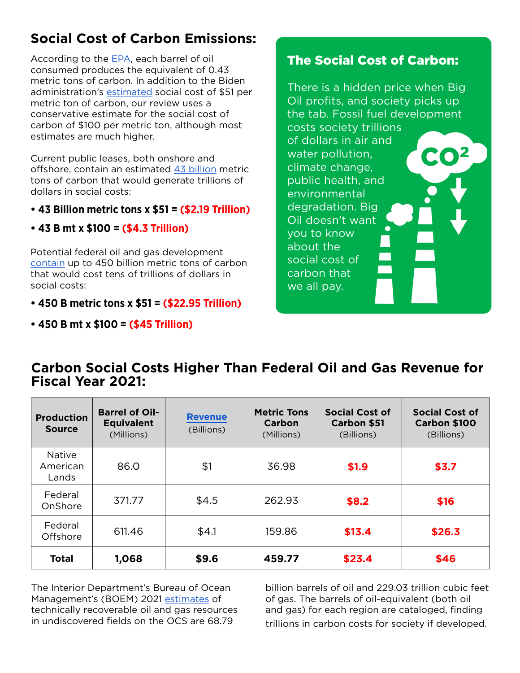# **Social Cost of Carbon Emissions:**

According to the [EPA,](https://www.epa.gov/energy/greenhouse-gases-equivalencies-calculator-calculations-and-references) each barrel of oil consumed produces the equivalent of 0.43 metric tons of carbon. In addition to the Biden administration's [estimated](https://www.whitehouse.gov/wp-content/uploads/2021/02/TechnicalSupportDocument_SocialCostofCarbonMethaneNitrousOxide.pdf) social cost of \$51 per metric ton of carbon, our review uses a conservative estimate for the social cost of carbon of \$100 per metric ton, although most estimates are much higher.

Current public leases, both onshore and offshore, contain an estimated [43 billion](http://www.biologicaldiversity.org/campaigns/keep_it_in_the_ground/pdfs/Potential_Greenhouse_GasEmissions_US_Federal_Fossil_Fuels.pdf) metric tons of carbon that would generate trillions of dollars in social costs:

#### y **43 Billion metric tons x \$51 = (\$2.19 Trillion)**

y **43 B mt x \$100 = (\$4.3 Trillion)**

Potential federal oil and gas development [contain](http://www.biologicaldiversity.org/campaigns/keep_it_in_the_ground/pdfs/Potential_Greenhouse_GasEmissions_US_Federal_Fossil_Fuels.pdf) up to 450 billion metric tons of carbon that would cost tens of trillions of dollars in social costs:

- y **450 B metric tons x \$51 = (\$22.95 Trillion)**
- y **450 B mt x \$100 = (\$45 Trillion)**

### The Social Cost of Carbon:

There is a hidden price when Big Oil profits, and society picks up the tab. Fossil fuel development costs society trillions of dollars in air and water pollution, climate change, public health, and environmental degradation. Big Oil doesn't want you to know about the social cost of carbon that we all pay.

#### **Carbon Social Costs Higher Than Federal Oil and Gas Revenue for Fiscal Year 2021:**

| <b>Production</b><br><b>Source</b> | <b>Barrel of Oil-</b><br><b>Equivalent</b><br>(Millions) | <b>Revenue</b><br>(Billions) | <b>Metric Tons</b><br>Carbon<br>(Millions) | <b>Social Cost of</b><br><b>Carbon \$51</b><br>(Billions) | <b>Social Cost of</b><br>Carbon \$100<br>(Billions) |
|------------------------------------|----------------------------------------------------------|------------------------------|--------------------------------------------|-----------------------------------------------------------|-----------------------------------------------------|
| <b>Native</b><br>American<br>Lands | 86.0                                                     | \$1                          | 36.98                                      | \$1.9                                                     | \$3.7                                               |
| Federal<br>OnShore                 | 371.77                                                   | \$4.5                        | 262.93                                     | \$8.2                                                     | \$16                                                |
| Federal<br>Offshore                | 611.46                                                   | \$4.1                        | 159.86                                     | \$13.4                                                    | \$26.3                                              |
| <b>Total</b>                       | 1,068                                                    | \$9.6                        | 459.77                                     | \$23.4                                                    | \$46                                                |

The Interior Department's Bureau of Ocean Management's (BOEM) 2021 [estimates](https://www.boem.gov/sites/default/files/documents/oil-gas-energy/resource-evaluation/2021-Fact-Sheet.pdf) of technically recoverable oil and gas resources in undiscovered fields on the OCS are 68.79

billion barrels of oil and 229.03 trillion cubic feet of gas. The barrels of oil-equivalent (both oil and gas) for each region are cataloged, finding trillions in carbon costs for society if developed.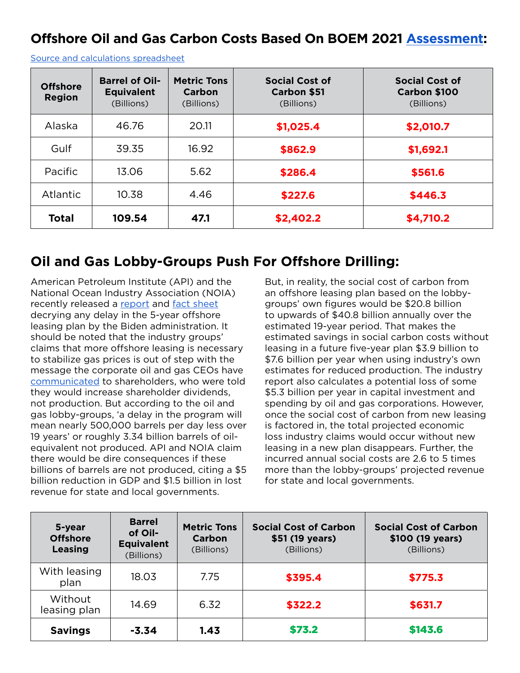## **Offshore Oil and Gas Carbon Costs Based On BOEM 2021 [Assessment](https://www.boem.gov/sites/default/files/documents/oil-gas-energy/resource-evaluation/2021-Fact-Sheet.pdf):**

| <b>Offshore</b><br><b>Region</b> | <b>Barrel of Oil-</b><br><b>Equivalent</b><br>(Billions) | <b>Metric Tons</b><br>Carbon<br>(Billions) | <b>Social Cost of</b><br><b>Carbon \$51</b><br>(Billions) | <b>Social Cost of</b><br>Carbon \$100<br>(Billions) |
|----------------------------------|----------------------------------------------------------|--------------------------------------------|-----------------------------------------------------------|-----------------------------------------------------|
| Alaska                           | 46.76                                                    | 20.11                                      | \$1,025.4                                                 | \$2,010.7                                           |
| Gulf                             | 39.35                                                    | 16.92                                      | \$862.9                                                   | \$1,692.1                                           |
| Pacific                          | 13.06                                                    | 5.62                                       | \$286.4                                                   | \$561.6                                             |
| Atlantic                         | 10.38                                                    | 4.46                                       | \$227.6                                                   | \$446.3                                             |
| <b>Total</b>                     | 109.54                                                   | 47.1                                       | \$2,402.2                                                 | \$4,710.2                                           |

[Source and calculations spreadsheet](https://docs.google.com/spreadsheets/d/1vCrJL3uXDAUYm21gIslPTs4HB7UrfOz9ZzMuSMEyWMQ/edit?usp=sharing)

#### **Oil and Gas Lobby-Groups Push For Offshore Drilling:**

American Petroleum Institute (API) and the National Ocean Industry Association (NOIA) recently released a [report](https://www.api.org/~/media/Files/News/2022/03/EIAP-5-year-Program-Leasing-Delay-Report-03-24-22) and [fact sheet](https://www.api.org/~/media/Files/News/2022/03/API-Factsheet-Offshore-Leasing-5-Year%20Program-Report) decrying any delay in the 5-year offshore leasing plan by the Biden administration. It should be noted that the industry groups' claims that more offshore leasing is necessary to stabilize gas prices is out of step with the message the corporate oil and gas CEOs have [communicated](https://www.cnn.com/2022/03/24/energy/gas-prices-oil-production-wall-street/index.html) to shareholders, who were told they would increase shareholder dividends, not production. But according to the oil and gas lobby-groups, 'a delay in the program will mean nearly 500,000 barrels per day less over 19 years' or roughly 3.34 billion barrels of oilequivalent not produced. API and NOIA claim there would be dire consequences if these billions of barrels are not produced, citing a \$5 billion reduction in GDP and \$1.5 billion in lost revenue for state and local governments.

But, in reality, the social cost of carbon from an offshore leasing plan based on the lobbygroups' own figures would be \$20.8 billion to upwards of \$40.8 billion annually over the estimated 19-year period. That makes the estimated savings in social carbon costs without leasing in a future five-year plan \$3.9 billion to \$7.6 billion per year when using industry's own estimates for reduced production. The industry report also calculates a potential loss of some \$5.3 billion per year in capital investment and spending by oil and gas corporations. However, once the social cost of carbon from new leasing is factored in, the total projected economic loss industry claims would occur without new leasing in a new plan disappears. Further, the incurred annual social costs are 2.6 to 5 times more than the lobby-groups' projected revenue for state and local governments.

| 5-year<br><b>Offshore</b><br><b>Leasing</b> | <b>Barrel</b><br>of Oil-<br><b>Equivalent</b><br>(Billions) | <b>Metric Tons</b><br>Carbon<br>(Billions) | <b>Social Cost of Carbon</b><br>\$51 (19 years)<br>(Billions) | <b>Social Cost of Carbon</b><br>\$100 (19 years)<br>(Billions) |
|---------------------------------------------|-------------------------------------------------------------|--------------------------------------------|---------------------------------------------------------------|----------------------------------------------------------------|
| With leasing<br>plan                        | 18.03                                                       | 7.75                                       | \$395.4                                                       | \$775.3                                                        |
| Without<br>leasing plan                     | 14.69                                                       | 6.32                                       | \$322.2                                                       | \$631.7                                                        |
| <b>Savings</b>                              | $-3.34$                                                     | 1.43                                       | \$73.2                                                        | \$143.6                                                        |